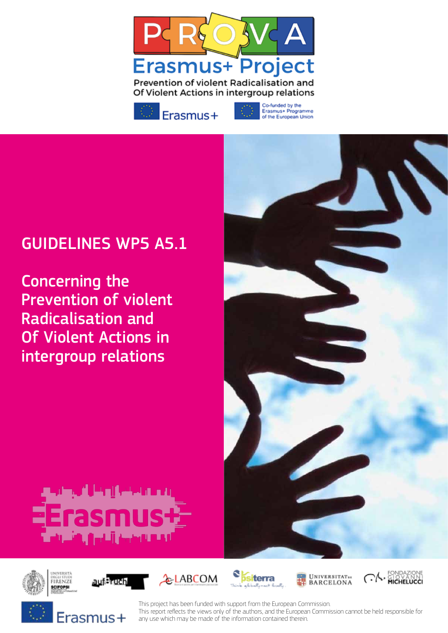



Co-funded by the Erasmus+ Programme<br>of the European Union

# GUIDELINES WP5 A5.1

Concerning the Prevention of violent Radicalisation and Of Violent Actions in intergroup relations

















This project has been funded with support from the European Commission. This report refects the views only of the authors, and the European Commission cannot be held responsible for any use which may be made of the information contained therein.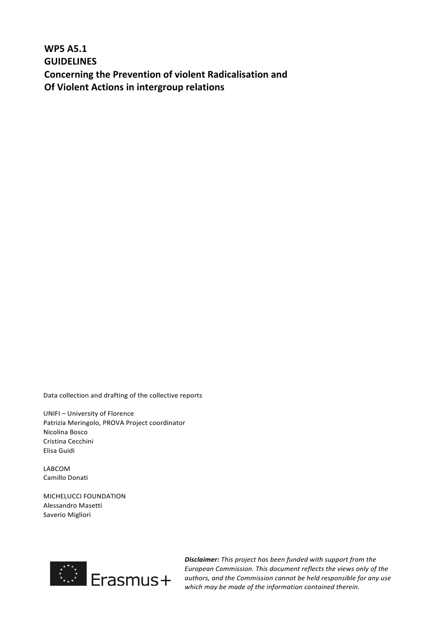**WP5 A5.1 GUIDELINES Concerning the Prevention of violent Radicalisation and Of Violent Actions in intergroup relations** 

Data collection and drafting of the collective reports

UNIFI - University of Florence Patrizia Meringolo, PROVA Project coordinator Nicolina Bosco Cristina Cecchini Elisa Guidi

LABCOM Camillo Donati

**MICHELUCCI FOUNDATION** Alessandro Masetti Saverio Migliori



**Disclaimer:** This project has been funded with support from the *European Commission. This document reflects the views only of the*  authors, and the Commission cannot be held responsible for any use which may be made of the information contained therein.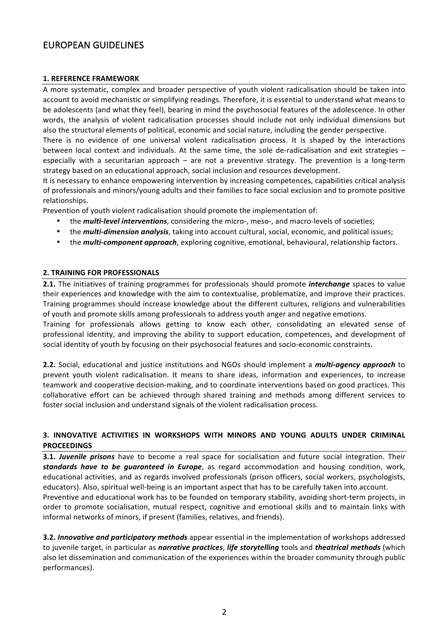# EUROPEAN GUIDELINES

#### **1. REFERENCE FRAMEWORK**

A more systematic, complex and broader perspective of youth violent radicalisation should be taken into account to avoid mechanistic or simplifying readings. Therefore, it is essential to understand what means to be adolescents (and what they feel), bearing in mind the psychosocial features of the adolescence. In other words, the analysis of violent radicalisation processes should include not only individual dimensions but also the structural elements of political, economic and social nature, including the gender perspective.

There is no evidence of one universal violent radicalisation process. It is shaped by the interactions between local context and individuals. At the same time, the sole de-radicalisation and exit strategies  $$ especially with a securitarian approach  $-$  are not a preventive strategy. The prevention is a long-term strategy based on an educational approach, social inclusion and resources development.

It is necessary to enhance empowering intervention by increasing competences, capabilities critical analysis of professionals and minors/young adults and their families to face social exclusion and to promote positive relationships.

Prevention of vouth violent radicalisation should promote the implementation of:

- the *multi-level interventions*, considering the micro-, meso-, and macro-levels of societies;
- the **multi-dimension analysis**, taking into account cultural, social, economic, and political issues;
- the *multi-component approach*, exploring cognitive, emotional, behavioural, relationship factors.

# **2. TRAINING FOR PROFESSIONALS**

**2.1.** The initiatives of training programmes for professionals should promote *interchange* spaces to value their experiences and knowledge with the aim to contextualise, problematize, and improve their practices. Training programmes should increase knowledge about the different cultures, religions and vulnerabilities of youth and promote skills among professionals to address youth anger and negative emotions.

Training for professionals allows getting to know each other, consolidating an elevated sense of professional identity, and improving the ability to support education, competences, and development of social identity of youth by focusing on their psychosocial features and socio-economic constraints.

**2.2.** Social, educational and justice institutions and NGOs should implement a *multi-agency approach* to prevent youth violent radicalisation. It means to share ideas, information and experiences, to increase teamwork and cooperative decision-making, and to coordinate interventions based on good practices. This collaborative effort can be achieved through shared training and methods among different services to foster social inclusion and understand signals of the violent radicalisation process.

# **3. INNOVATIVE ACTIVITIES IN WORKSHOPS WITH MINORS AND YOUNG ADULTS UNDER CRIMINAL PROCEEDINGS**

**3.1.** *Juvenile prisons* have to become a real space for socialisation and future social integration. Their standards have to be guaranteed in Europe, as regard accommodation and housing condition, work, educational activities, and as regards involved professionals (prison officers, social workers, psychologists, educators). Also, spiritual well-being is an important aspect that has to be carefully taken into account. Preventive and educational work has to be founded on temporary stability, avoiding short-term projects, in order to promote socialisation, mutual respect, cognitive and emotional skills and to maintain links with informal networks of minors, if present (families, relatives, and friends).

**3.2. Innovative and participatory methods** appear essential in the implementation of workshops addressed to juvenile target, in particular as *narrative practices*, *life storytelling* tools and *theatrical methods* (which also let dissemination and communication of the experiences within the broader community through public performances).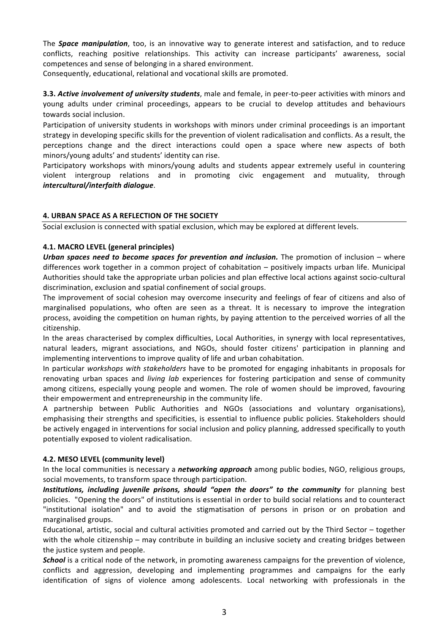The **Space manipulation**, too, is an innovative way to generate interest and satisfaction, and to reduce conflicts, reaching positive relationships. This activity can increase participants' awareness, social competences and sense of belonging in a shared environment.

Consequently, educational, relational and vocational skills are promoted.

**3.3. Active involvement of university students**, male and female, in peer-to-peer activities with minors and young adults under criminal proceedings, appears to be crucial to develop attitudes and behaviours towards social inclusion.

Participation of university students in workshops with minors under criminal proceedings is an important strategy in developing specific skills for the prevention of violent radicalisation and conflicts. As a result, the perceptions change and the direct interactions could open a space where new aspects of both minors/young adults' and students' identity can rise.

Participatory workshops with minors/young adults and students appear extremely useful in countering violent intergroup relations and in promoting civic engagement and mutuality, through *intercultural/interfaith dialogue*. 

# **4. URBAN SPACE AS A REFLECTION OF THE SOCIETY**

Social exclusion is connected with spatial exclusion, which may be explored at different levels.

#### **4.1. MACRO LEVEL (general principles)**

Urban spaces need to become spaces for prevention and inclusion. The promotion of inclusion – where differences work together in a common project of cohabitation – positively impacts urban life. Municipal Authorities should take the appropriate urban policies and plan effective local actions against socio-cultural discrimination, exclusion and spatial confinement of social groups.

The improvement of social cohesion may overcome insecurity and feelings of fear of citizens and also of marginalised populations, who often are seen as a threat. It is necessary to improve the integration process, avoiding the competition on human rights, by paying attention to the perceived worries of all the citizenship.

In the areas characterised by complex difficulties, Local Authorities, in synergy with local representatives, natural leaders, migrant associations, and NGOs, should foster citizens' participation in planning and implementing interventions to improve quality of life and urban cohabitation.

In particular *workshops* with *stakeholders* have to be promoted for engaging inhabitants in proposals for renovating urban spaces and *living lab* experiences for fostering participation and sense of community among citizens, especially young people and women. The role of women should be improved, favouring their empowerment and entrepreneurship in the community life.

A partnership between Public Authorities and NGOs (associations and voluntary organisations), emphasising their strengths and specificities, is essential to influence public policies. Stakeholders should be actively engaged in interventions for social inclusion and policy planning, addressed specifically to youth potentially exposed to violent radicalisation.

#### **4.2. MESO LEVEL (community level)**

In the local communities is necessary a *networking approach* among public bodies, NGO, religious groups, social movements, to transform space through participation.

*Institutions, including juvenile prisons, should "open the doors" to the community* for planning best policies. "Opening the doors" of institutions is essential in order to build social relations and to counteract "institutional isolation" and to avoid the stigmatisation of persons in prison or on probation and marginalised groups.

Educational, artistic, social and cultural activities promoted and carried out by the Third Sector - together with the whole citizenship – may contribute in building an inclusive society and creating bridges between the justice system and people.

**School** is a critical node of the network, in promoting awareness campaigns for the prevention of violence, conflicts and aggression, developing and implementing programmes and campaigns for the early identification of signs of violence among adolescents. Local networking with professionals in the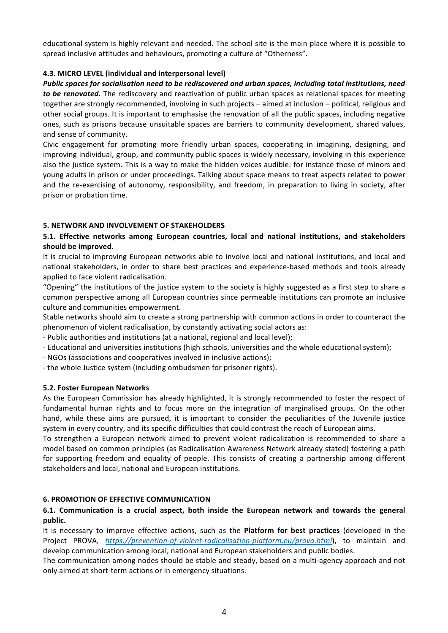educational system is highly relevant and needed. The school site is the main place where it is possible to spread inclusive attitudes and behaviours, promoting a culture of "Otherness".

# **4.3. MICRO LEVEL (individual and interpersonal level)**

*Public spaces for socialisation need to be rediscovered and urban spaces, including total institutions, need* to be renovated. The rediscovery and reactivation of public urban spaces as relational spaces for meeting together are strongly recommended, involving in such projects – aimed at inclusion – political, religious and other social groups. It is important to emphasise the renovation of all the public spaces, including negative ones, such as prisons because unsuitable spaces are barriers to community development, shared values, and sense of community.

Civic engagement for promoting more friendly urban spaces, cooperating in imagining, designing, and improving individual, group, and community public spaces is widely necessary, involving in this experience also the justice system. This is a way to make the hidden voices audible: for instance those of minors and young adults in prison or under proceedings. Talking about space means to treat aspects related to power and the re-exercising of autonomy, responsibility, and freedom, in preparation to living in society, after prison or probation time.

# **5. NETWORK AND INVOLVEMENT OF STAKEHOLDERS**

# **5.1. Effective networks among European countries, local and national institutions, and stakeholders** should be improved.

It is crucial to improving European networks able to involve local and national institutions, and local and national stakeholders, in order to share best practices and experience-based methods and tools already applied to face violent radicalisation.

"Opening" the institutions of the justice system to the society is highly suggested as a first step to share a common perspective among all European countries since permeable institutions can promote an inclusive culture and communities empowerment.

Stable networks should aim to create a strong partnership with common actions in order to counteract the phenomenon of violent radicalisation, by constantly activating social actors as:

- Public authorities and institutions (at a national, regional and local level);
- Educational and universities institutions (high schools, universities and the whole educational system);
- NGOs (associations and cooperatives involved in inclusive actions);
- the whole Justice system (including ombudsmen for prisoner rights).

#### **5.2. Foster European Networks**

As the European Commission has already highlighted, it is strongly recommended to foster the respect of fundamental human rights and to focus more on the integration of marginalised groups. On the other hand, while these aims are pursued, it is important to consider the peculiarities of the Juvenile justice system in every country, and its specific difficulties that could contrast the reach of European aims.

To strengthen a European network aimed to prevent violent radicalization is recommended to share a model based on common principles (as Radicalisation Awareness Network already stated) fostering a path for supporting freedom and equality of people. This consists of creating a partnership among different stakeholders and local, national and European institutions.

#### **6. PROMOTION OF EFFECTIVE COMMUNICATION**

# **6.1. Communication is a crucial aspect, both inside the European network and towards the general public.**

It is necessary to improve effective actions, such as the **Platform for best practices** (developed in the Project PROVA, https://prevention-of-violent-radicalisation-platform.eu/prova.html), to maintain and develop communication among local, national and European stakeholders and public bodies.

The communication among nodes should be stable and steady, based on a multi-agency approach and not only aimed at short-term actions or in emergency situations.